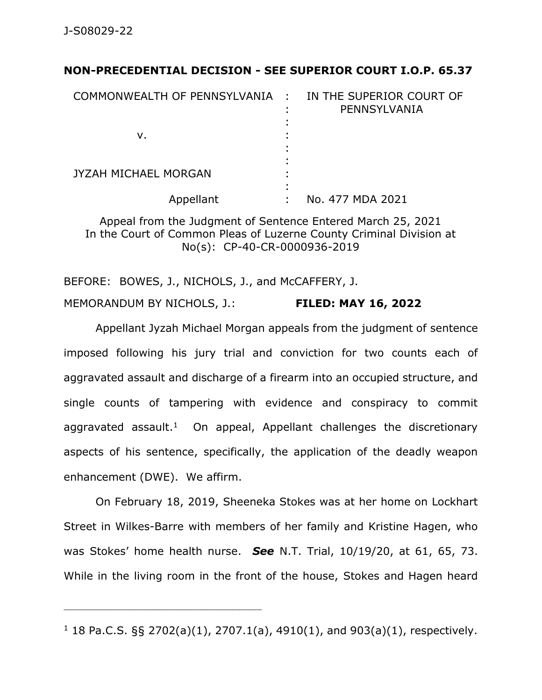## **NON-PRECEDENTIAL DECISION - SEE SUPERIOR COURT I.O.P. 65.37**

| COMMONWEALTH OF PENNSYLVANIA : | IN THE SUPERIOR COURT OF<br>PENNSYLVANIA |
|--------------------------------|------------------------------------------|
| ν.                             |                                          |
| JYZAH MICHAEL MORGAN           |                                          |
| Appellant                      | No. 477 MDA 2021                         |

Appeal from the Judgment of Sentence Entered March 25, 2021 In the Court of Common Pleas of Luzerne County Criminal Division at No(s): CP-40-CR-0000936-2019

BEFORE: BOWES, J., NICHOLS, J., and McCAFFERY, J. MEMORANDUM BY NICHOLS, J.: **FILED: MAY 16, 2022**

Appellant Jyzah Michael Morgan appeals from the judgment of sentence imposed following his jury trial and conviction for two counts each of aggravated assault and discharge of a firearm into an occupied structure, and single counts of tampering with evidence and conspiracy to commit aggravated assault.<sup>1</sup> On appeal, Appellant challenges the discretionary aspects of his sentence, specifically, the application of the deadly weapon enhancement (DWE). We affirm.

On February 18, 2019, Sheeneka Stokes was at her home on Lockhart Street in Wilkes-Barre with members of her family and Kristine Hagen, who was Stokes' home health nurse. *See* N.T. Trial, 10/19/20, at 61, 65, 73. While in the living room in the front of the house, Stokes and Hagen heard

\_\_\_\_\_\_\_\_\_\_\_\_\_\_\_\_\_\_\_\_\_\_\_\_\_\_\_\_\_\_\_\_\_\_\_\_\_\_\_\_\_\_\_\_

<sup>&</sup>lt;sup>1</sup> 18 Pa.C.S. §§ 2702(a)(1), 2707.1(a), 4910(1), and 903(a)(1), respectively.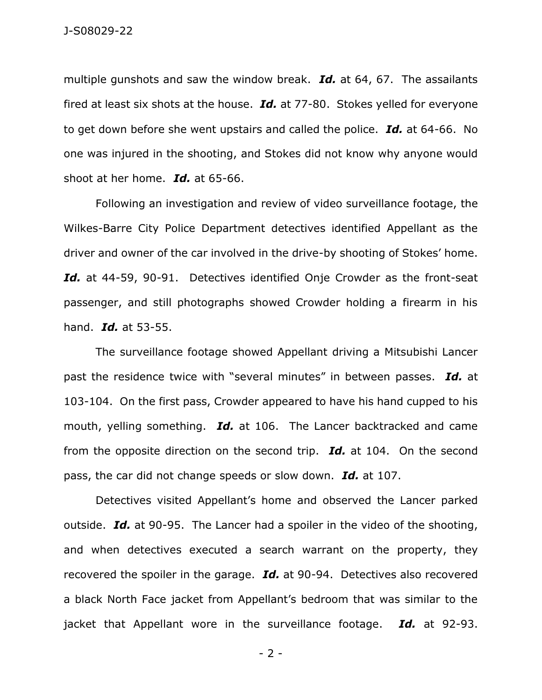multiple gunshots and saw the window break. *Id.* at 64, 67. The assailants fired at least six shots at the house. *Id.* at 77-80. Stokes yelled for everyone to get down before she went upstairs and called the police. *Id.* at 64-66. No one was injured in the shooting, and Stokes did not know why anyone would shoot at her home. *Id.* at 65-66.

Following an investigation and review of video surveillance footage, the Wilkes-Barre City Police Department detectives identified Appellant as the driver and owner of the car involved in the drive-by shooting of Stokes' home. Id. at 44-59, 90-91. Detectives identified Onje Crowder as the front-seat passenger, and still photographs showed Crowder holding a firearm in his hand. *Id.* at 53-55.

The surveillance footage showed Appellant driving a Mitsubishi Lancer past the residence twice with "several minutes" in between passes. *Id.* at 103-104. On the first pass, Crowder appeared to have his hand cupped to his mouth, yelling something. *Id.* at 106. The Lancer backtracked and came from the opposite direction on the second trip. *Id.* at 104. On the second pass, the car did not change speeds or slow down. *Id.* at 107.

Detectives visited Appellant's home and observed the Lancer parked outside. *Id.* at 90-95. The Lancer had a spoiler in the video of the shooting, and when detectives executed a search warrant on the property, they recovered the spoiler in the garage. *Id.* at 90-94. Detectives also recovered a black North Face jacket from Appellant's bedroom that was similar to the jacket that Appellant wore in the surveillance footage. *Id.* at 92-93.

- 2 -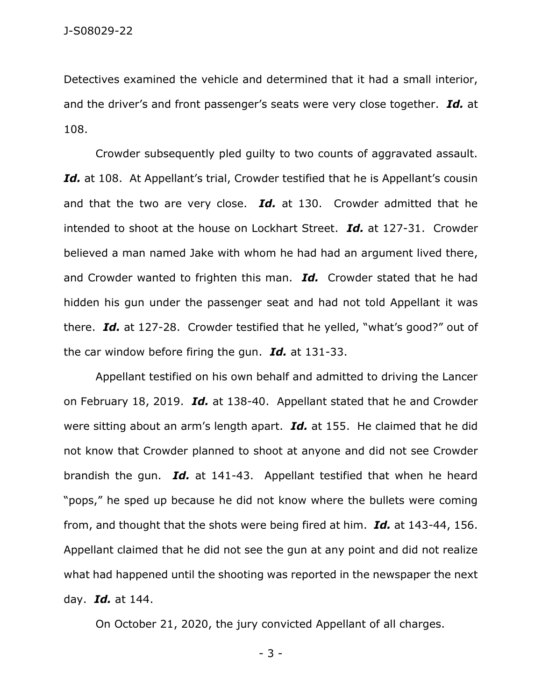Detectives examined the vehicle and determined that it had a small interior, and the driver's and front passenger's seats were very close together. *Id.* at 108.

Crowder subsequently pled guilty to two counts of aggravated assault. Id. at 108. At Appellant's trial, Crowder testified that he is Appellant's cousin and that the two are very close. *Id.* at 130. Crowder admitted that he intended to shoot at the house on Lockhart Street. *Id.* at 127-31. Crowder believed a man named Jake with whom he had had an argument lived there, and Crowder wanted to frighten this man. *Id.* Crowder stated that he had hidden his gun under the passenger seat and had not told Appellant it was there. *Id.* at 127-28. Crowder testified that he yelled, "what's good?" out of the car window before firing the gun. *Id.* at 131-33.

Appellant testified on his own behalf and admitted to driving the Lancer on February 18, 2019. *Id.* at 138-40. Appellant stated that he and Crowder were sitting about an arm's length apart. *Id.* at 155. He claimed that he did not know that Crowder planned to shoot at anyone and did not see Crowder brandish the gun. *Id.* at 141-43. Appellant testified that when he heard "pops," he sped up because he did not know where the bullets were coming from, and thought that the shots were being fired at him. *Id.* at 143-44, 156. Appellant claimed that he did not see the gun at any point and did not realize what had happened until the shooting was reported in the newspaper the next day. *Id.* at 144.

On October 21, 2020, the jury convicted Appellant of all charges.

- 3 -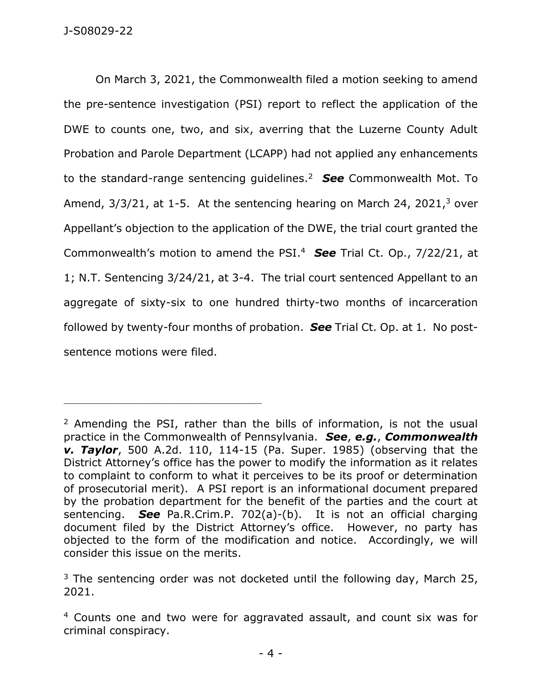On March 3, 2021, the Commonwealth filed a motion seeking to amend the pre-sentence investigation (PSI) report to reflect the application of the DWE to counts one, two, and six, averring that the Luzerne County Adult Probation and Parole Department (LCAPP) had not applied any enhancements to the standard-range sentencing guidelines. 2 *See* Commonwealth Mot. To Amend,  $3/3/21$ , at 1-5. At the sentencing hearing on March 24, 2021,<sup>3</sup> over Appellant's objection to the application of the DWE, the trial court granted the Commonwealth's motion to amend the PSI. <sup>4</sup> *See* Trial Ct. Op., 7/22/21, at 1; N.T. Sentencing 3/24/21, at 3-4. The trial court sentenced Appellant to an aggregate of sixty-six to one hundred thirty-two months of incarceration followed by twenty-four months of probation. *See* Trial Ct. Op. at 1. No postsentence motions were filed.

<sup>2</sup> Amending the PSI, rather than the bills of information, is not the usual practice in the Commonwealth of Pennsylvania. *See*, *e.g.*, *Commonwealth v. Taylor*, 500 A.2d. 110, 114-15 (Pa. Super. 1985) (observing that the District Attorney's office has the power to modify the information as it relates to complaint to conform to what it perceives to be its proof or determination of prosecutorial merit). A PSI report is an informational document prepared by the probation department for the benefit of the parties and the court at sentencing. *See* Pa.R.Crim.P. 702(a)-(b). It is not an official charging document filed by the District Attorney's office. However, no party has objected to the form of the modification and notice. Accordingly, we will consider this issue on the merits.

 $3$  The sentencing order was not docketed until the following day, March 25, 2021.

<sup>4</sup> Counts one and two were for aggravated assault, and count six was for criminal conspiracy.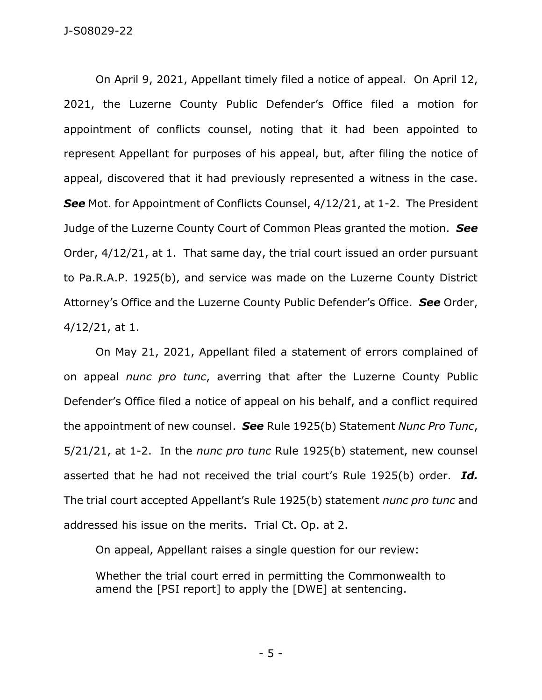On April 9, 2021, Appellant timely filed a notice of appeal. On April 12, 2021, the Luzerne County Public Defender's Office filed a motion for appointment of conflicts counsel, noting that it had been appointed to represent Appellant for purposes of his appeal, but, after filing the notice of appeal, discovered that it had previously represented a witness in the case. *See* Mot. for Appointment of Conflicts Counsel, 4/12/21, at 1-2. The President Judge of the Luzerne County Court of Common Pleas granted the motion. *See*  Order, 4/12/21, at 1. That same day, the trial court issued an order pursuant to Pa.R.A.P. 1925(b), and service was made on the Luzerne County District Attorney's Office and the Luzerne County Public Defender's Office. *See* Order, 4/12/21, at 1.

On May 21, 2021, Appellant filed a statement of errors complained of on appeal *nunc pro tunc*, averring that after the Luzerne County Public Defender's Office filed a notice of appeal on his behalf, and a conflict required the appointment of new counsel. *See* Rule 1925(b) Statement *Nunc Pro Tunc*, 5/21/21, at 1-2. In the *nunc pro tunc* Rule 1925(b) statement, new counsel asserted that he had not received the trial court's Rule 1925(b) order. *Id.* The trial court accepted Appellant's Rule 1925(b) statement *nunc pro tunc* and addressed his issue on the merits. Trial Ct. Op. at 2.

On appeal, Appellant raises a single question for our review:

Whether the trial court erred in permitting the Commonwealth to amend the [PSI report] to apply the [DWE] at sentencing.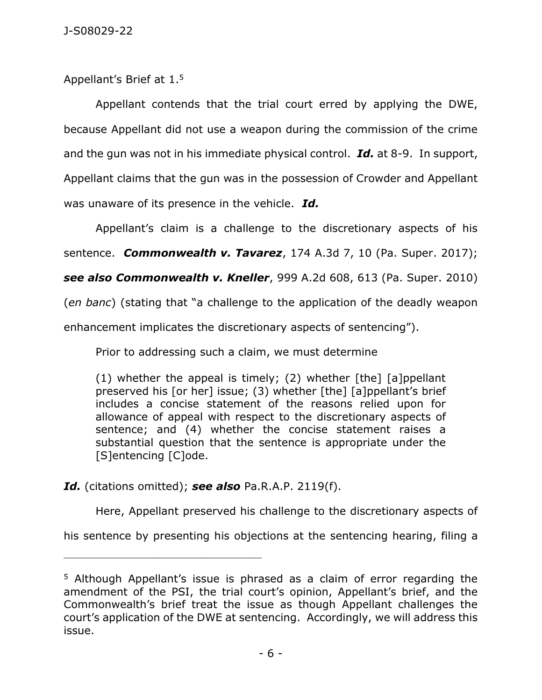Appellant's Brief at 1.<sup>5</sup>

Appellant contends that the trial court erred by applying the DWE, because Appellant did not use a weapon during the commission of the crime and the gun was not in his immediate physical control. *Id.* at 8-9. In support, Appellant claims that the gun was in the possession of Crowder and Appellant was unaware of its presence in the vehicle. *Id.*

Appellant's claim is a challenge to the discretionary aspects of his

sentence. *Commonwealth v. Tavarez*, 174 A.3d 7, 10 (Pa. Super. 2017);

*see also Commonwealth v. Kneller*, 999 A.2d 608, 613 (Pa. Super. 2010)

(*en banc*) (stating that "a challenge to the application of the deadly weapon

enhancement implicates the discretionary aspects of sentencing").

Prior to addressing such a claim, we must determine

(1) whether the appeal is timely; (2) whether [the] [a]ppellant preserved his [or her] issue; (3) whether [the] [a]ppellant's brief includes a concise statement of the reasons relied upon for allowance of appeal with respect to the discretionary aspects of sentence; and (4) whether the concise statement raises a substantial question that the sentence is appropriate under the [S]entencing [C]ode.

*Id.* (citations omitted); *see also* Pa.R.A.P. 2119(f).

\_\_\_\_\_\_\_\_\_\_\_\_\_\_\_\_\_\_\_\_\_\_\_\_\_\_\_\_\_\_\_\_\_\_\_\_\_\_\_\_\_\_\_\_

Here, Appellant preserved his challenge to the discretionary aspects of

his sentence by presenting his objections at the sentencing hearing, filing a

<sup>5</sup> Although Appellant's issue is phrased as a claim of error regarding the amendment of the PSI, the trial court's opinion, Appellant's brief, and the Commonwealth's brief treat the issue as though Appellant challenges the court's application of the DWE at sentencing. Accordingly, we will address this issue.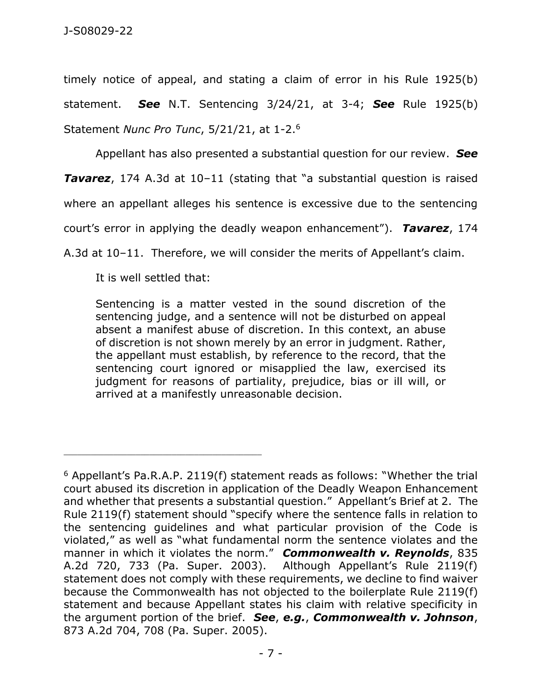timely notice of appeal, and stating a claim of error in his Rule 1925(b) statement. *See* N.T. Sentencing 3/24/21, at 3-4; *See* Rule 1925(b) Statement *Nunc Pro Tunc*, 5/21/21, at 1-2. 6

Appellant has also presented a substantial question for our review. *See*

**Tavarez**, 174 A.3d at 10-11 (stating that "a substantial question is raised

where an appellant alleges his sentence is excessive due to the sentencing

court's error in applying the deadly weapon enhancement"). *Tavarez*, 174

A.3d at 10–11. Therefore, we will consider the merits of Appellant's claim.

It is well settled that:

\_\_\_\_\_\_\_\_\_\_\_\_\_\_\_\_\_\_\_\_\_\_\_\_\_\_\_\_\_\_\_\_\_\_\_\_\_\_\_\_\_\_\_\_

Sentencing is a matter vested in the sound discretion of the sentencing judge, and a sentence will not be disturbed on appeal absent a manifest abuse of discretion. In this context, an abuse of discretion is not shown merely by an error in judgment. Rather, the appellant must establish, by reference to the record, that the sentencing court ignored or misapplied the law, exercised its judgment for reasons of partiality, prejudice, bias or ill will, or arrived at a manifestly unreasonable decision.

<sup>6</sup> Appellant's Pa.R.A.P. 2119(f) statement reads as follows: "Whether the trial court abused its discretion in application of the Deadly Weapon Enhancement and whether that presents a substantial question." Appellant's Brief at 2. The Rule 2119(f) statement should "specify where the sentence falls in relation to the sentencing guidelines and what particular provision of the Code is violated," as well as "what fundamental norm the sentence violates and the manner in which it violates the norm." *Commonwealth v. Reynolds*, 835 A.2d 720, 733 (Pa. Super. 2003). Although Appellant's Rule 2119(f) statement does not comply with these requirements, we decline to find waiver because the Commonwealth has not objected to the boilerplate Rule 2119(f) statement and because Appellant states his claim with relative specificity in the argument portion of the brief. *See*, *e.g.*, *Commonwealth v. Johnson*, 873 A.2d 704, 708 (Pa. Super. 2005).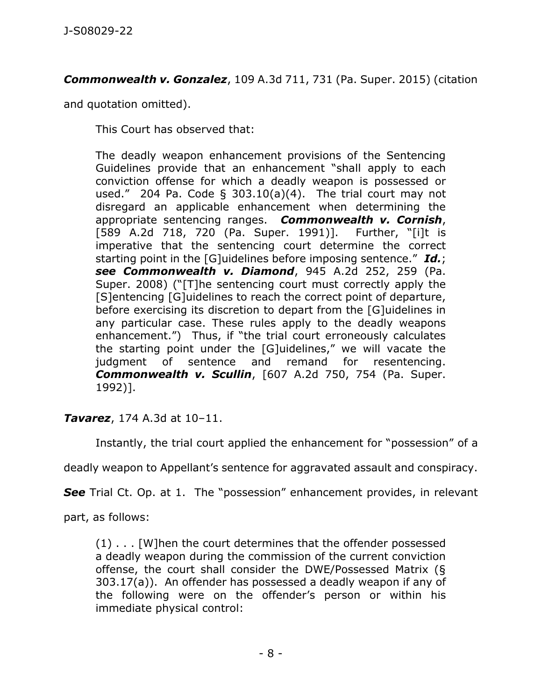## *Commonwealth v. Gonzalez*, 109 A.3d 711, 731 (Pa. Super. 2015) (citation

and quotation omitted).

This Court has observed that:

The deadly weapon enhancement provisions of the Sentencing Guidelines provide that an enhancement "shall apply to each conviction offense for which a deadly weapon is possessed or used." 204 Pa. Code § 303.10(a)(4). The trial court may not disregard an applicable enhancement when determining the appropriate sentencing ranges. *Commonwealth v. Cornish*, [589 A.2d 718, 720 (Pa. Super. 1991)]. Further, "[i]t is imperative that the sentencing court determine the correct starting point in the [G]uidelines before imposing sentence." *Id.*; *see Commonwealth v. Diamond*, 945 A.2d 252, 259 (Pa. Super. 2008) ("[T]he sentencing court must correctly apply the [S]entencing [G]uidelines to reach the correct point of departure, before exercising its discretion to depart from the [G]uidelines in any particular case. These rules apply to the deadly weapons enhancement.") Thus, if "the trial court erroneously calculates the starting point under the [G]uidelines," we will vacate the judgment of sentence and remand for resentencing. *Commonwealth v. Scullin*, [607 A.2d 750, 754 (Pa. Super. 1992)].

*Tavarez*, 174 A.3d at 10–11.

Instantly, the trial court applied the enhancement for "possession" of a

deadly weapon to Appellant's sentence for aggravated assault and conspiracy.

**See** Trial Ct. Op. at 1. The "possession" enhancement provides, in relevant

part, as follows:

(1) . . . [W]hen the court determines that the offender possessed a deadly weapon during the commission of the current conviction offense, the court shall consider the DWE/Possessed Matrix (§ 303.17(a)). An offender has possessed a deadly weapon if any of the following were on the offender's person or within his immediate physical control: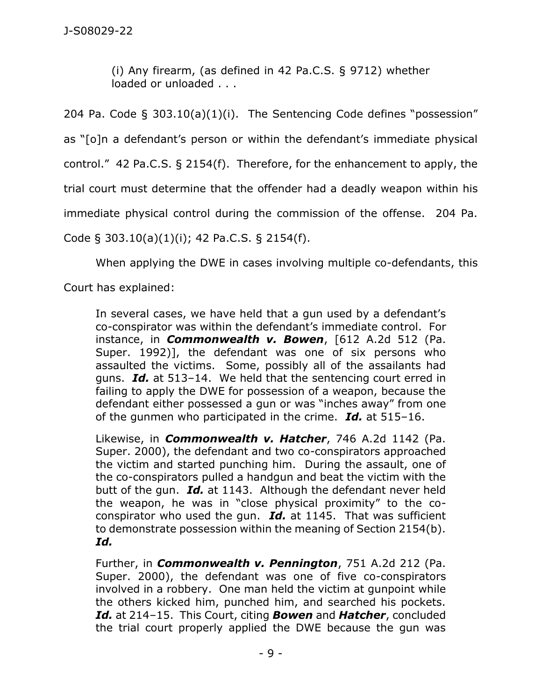(i) Any firearm, (as defined in 42 Pa.C.S. § 9712) whether loaded or unloaded . . .

204 Pa. Code § 303.10(a)(1)(i). The Sentencing Code defines "possession"

as "[o]n a defendant's person or within the defendant's immediate physical

control." 42 Pa.C.S. § 2154(f). Therefore, for the enhancement to apply, the

trial court must determine that the offender had a deadly weapon within his

immediate physical control during the commission of the offense. 204 Pa.

Code § 303.10(a)(1)(i); 42 Pa.C.S. § 2154(f).

When applying the DWE in cases involving multiple co-defendants, this

Court has explained:

In several cases, we have held that a gun used by a defendant's co-conspirator was within the defendant's immediate control. For instance, in *Commonwealth v. Bowen*, [612 A.2d 512 (Pa. Super. 1992)], the defendant was one of six persons who assaulted the victims. Some, possibly all of the assailants had guns. *Id.* at 513–14. We held that the sentencing court erred in failing to apply the DWE for possession of a weapon, because the defendant either possessed a gun or was "inches away" from one of the gunmen who participated in the crime. *Id.* at 515–16.

Likewise, in *Commonwealth v. Hatcher*, 746 A.2d 1142 (Pa. Super. 2000), the defendant and two co-conspirators approached the victim and started punching him. During the assault, one of the co-conspirators pulled a handgun and beat the victim with the butt of the gun. *Id.* at 1143. Although the defendant never held the weapon, he was in "close physical proximity" to the coconspirator who used the gun. *Id.* at 1145. That was sufficient to demonstrate possession within the meaning of Section 2154(b). *Id.*

Further, in *Commonwealth v. Pennington*, 751 A.2d 212 (Pa. Super. 2000), the defendant was one of five co-conspirators involved in a robbery. One man held the victim at gunpoint while the others kicked him, punched him, and searched his pockets. *Id.* at 214–15. This Court, citing *Bowen* and *Hatcher*, concluded the trial court properly applied the DWE because the gun was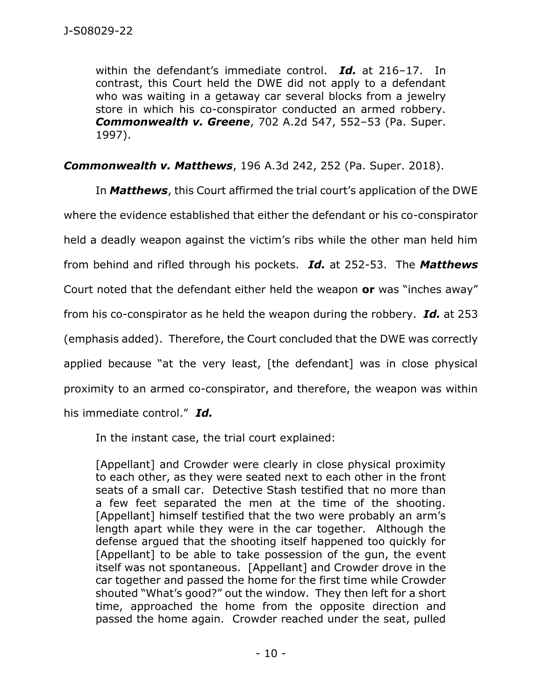within the defendant's immediate control. *Id.* at 216–17. In contrast, this Court held the DWE did not apply to a defendant who was waiting in a getaway car several blocks from a jewelry store in which his co-conspirator conducted an armed robbery. *Commonwealth v. Greene*, 702 A.2d 547, 552–53 (Pa. Super. 1997).

*Commonwealth v. Matthews*, 196 A.3d 242, 252 (Pa. Super. 2018).

In *Matthews*, this Court affirmed the trial court's application of the DWE where the evidence established that either the defendant or his co-conspirator held a deadly weapon against the victim's ribs while the other man held him from behind and rifled through his pockets. *Id.* at 252-53. The *Matthews*  Court noted that the defendant either held the weapon **or** was "inches away" from his co-conspirator as he held the weapon during the robbery. *Id.* at 253 (emphasis added). Therefore, the Court concluded that the DWE was correctly applied because "at the very least, [the defendant] was in close physical proximity to an armed co-conspirator, and therefore, the weapon was within his immediate control." *Id.*

In the instant case, the trial court explained:

[Appellant] and Crowder were clearly in close physical proximity to each other, as they were seated next to each other in the front seats of a small car. Detective Stash testified that no more than a few feet separated the men at the time of the shooting. [Appellant] himself testified that the two were probably an arm's length apart while they were in the car together. Although the defense argued that the shooting itself happened too quickly for [Appellant] to be able to take possession of the gun, the event itself was not spontaneous. [Appellant] and Crowder drove in the car together and passed the home for the first time while Crowder shouted "What's good?" out the window. They then left for a short time, approached the home from the opposite direction and passed the home again. Crowder reached under the seat, pulled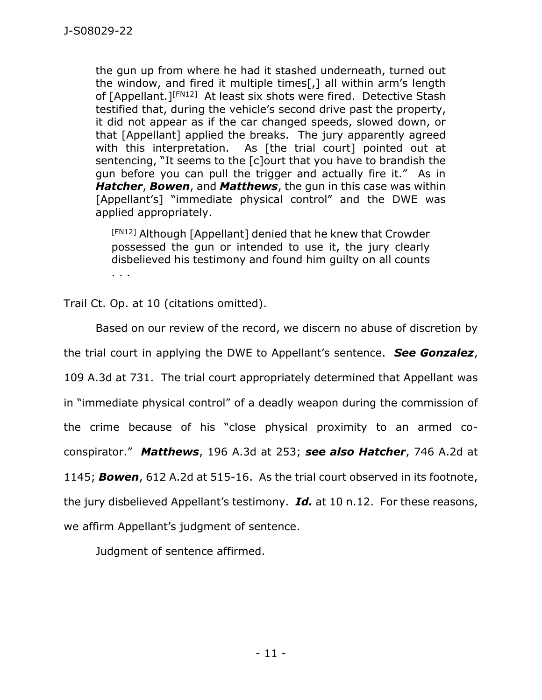the gun up from where he had it stashed underneath, turned out the window, and fired it multiple times[,] all within arm's length of [Appellant.]<sup>[FN12]</sup> At least six shots were fired. Detective Stash testified that, during the vehicle's second drive past the property, it did not appear as if the car changed speeds, slowed down, or that [Appellant] applied the breaks. The jury apparently agreed with this interpretation. As [the trial court] pointed out at sentencing, "It seems to the [c]ourt that you have to brandish the gun before you can pull the trigger and actually fire it." As in *Hatcher*, *Bowen*, and *Matthews*, the gun in this case was within [Appellant's] "immediate physical control" and the DWE was applied appropriately.

[FN12] Although [Appellant] denied that he knew that Crowder possessed the gun or intended to use it, the jury clearly disbelieved his testimony and found him guilty on all counts . . .

Trail Ct. Op. at 10 (citations omitted).

Based on our review of the record, we discern no abuse of discretion by the trial court in applying the DWE to Appellant's sentence. *See Gonzalez*, 109 A.3d at 731. The trial court appropriately determined that Appellant was in "immediate physical control" of a deadly weapon during the commission of the crime because of his "close physical proximity to an armed coconspirator." *Matthews*, 196 A.3d at 253; *see also Hatcher*, 746 A.2d at 1145; *Bowen*, 612 A.2d at 515-16. As the trial court observed in its footnote, the jury disbelieved Appellant's testimony. *Id.* at 10 n.12. For these reasons, we affirm Appellant's judgment of sentence.

Judgment of sentence affirmed.